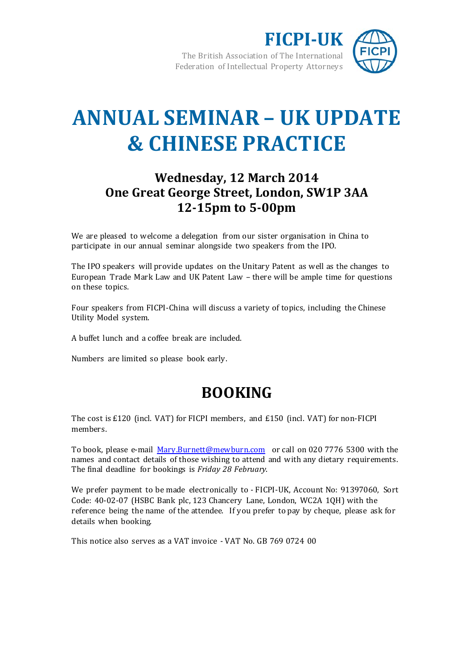

# **ANNUAL SEMINAR – UK UPDATE & CHINESE PRACTICE**

## **Wednesday, 12 March 2014 One Great George Street, London, SW1P 3AA 12-15pm to 5-00pm**

We are pleased to welcome a delegation from our sister organisation in China to participate in our annual seminar alongside two speakers from the IPO.

The IPO speakers will provide updates on the Unitary Patent as well as the changes to European Trade Mark Law and UK Patent Law – there will be ample time for questions on these topics.

Four speakers from FICPI-China will discuss a variety of topics, including the Chinese Utility Model system.

A buffet lunch and a coffee break are included.

Numbers are limited so please book early.

# **BOOKING**

The cost is £120 (incl. VAT) for FICPI members, and £150 (incl. VAT) for non-FICPI members.

To book, please e-mail [Mary.Burnett@mewburn.com](mailto:Mary.Burnett@mewburn.com?subject=Booking%20for%20FICPI-UK%20Seminar%20-%2012%20March%202014) or call on 020 7776 5300 with the names and contact details of those wishing to attend and with any dietary requirements. The final deadline for bookings is *Friday 28 February*.

We prefer payment to be made electronically to - FICPI-UK, Account No: 91397060, Sort Code: 40-02-07 (HSBC Bank plc, 123 Chancery Lane, London, WC2A 1QH) with the reference being the name of the attendee. If you prefer to pay by cheque, please ask for details when booking.

This notice also serves as a VAT invoice - VAT No. GB 769 0724 00